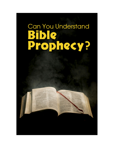# Can You Understand<br> **Bible<br>Prophecy?**

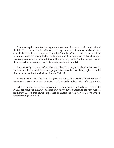Can anything be more fascinating, more mysterious than some of the prophecies of the Bible? The book of Daniel, with its great image composed of various metals and miry clay; the beasts with their many horns and the "little horn" which came up among them to uproot three other beasts; the book of Revelation with its mysterious seals and trumpet plagues, great dragons, a woman clothed with the sun, a symbolic "bottomless pit"—surely there is much in biblical prophecy to fascinate, puzzle and mystify!

Approximately one THIRD of the Bible is *prophecy!* The "major prophets" include Isaiah, Jeremiah and Ezekiel, and the minor" prophets (so-called because their prophecies in the Bible are of lesser duration) include Hosea to Malachi.

Few realize that Jesus Christ was the greatest prophet of all; that His "Olivet prophecy" (Matthew 24; Mark 13; Luke 21) provides a vital key to the understanding of ALL prophecy.

Believe it or not, there are prophecies found from Genesis to Revelation; some of the Psalms are prophetic in nature, and it is truly *impossible* to understand the very purpose for human life on this planet; impossible to understand *why you were born* without understanding prophecy!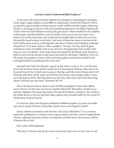### **Can Just Anyone Understand Bible Prophecy?**

At the end of the book of Daniel, Gabriel the archangel is concluding his exposition of the *longest* single prophecy in the Bible by explaining to Daniel that Palestine will be occupied by a great northern military power. In the twelfth and final chapter, following Daniel 11, the longest, and one of the most detailed prophecies in the Bible, Gabriel said, "And at that time shall Michael stand up, the great prince which standeth for the children of thy people: and there shall be *a time of trouble* such as never was since there was a nation even to that same time: and at that time thy people shall be delivered, every one that shall be found written in the book. And many of them that sleep in the dust of the earth shall awake, some to everlasting life, and some to shame and everlasting contempt" (Daniel 12:1–2). In Jesus' famous "Olivet prophecy" He said, "for then shall be great *tribulation* [a time of trouble], such as was not since the beginning of the world to this time, no, nor ever shall be. And except those days should be shortened, there should no flesh be saved: but for the elect's sake those days shall be shortened" (Matthew 24:21–22). Obviously, the prophecy of Jesus Christ and this prophecy delivered to Daniel by the archangel Gabriel are speaking of the *same time!*

Jeremiah said "Alas! For that day is great, so that NONE IS LIKE IT: It is even the time of JACOB's TROUBLE; but he shall be saved out of it [meaning he shall go THROUGH it, not be saved from it!] For it shall come to pass in that day, saith the LORD of hosts, that I will break his yoke from off thy neck, and will burst thy bonds, and strangers shall no more serve themselves of him: But they shall serve the LORD their God, and David their king, whom I will *raise* up unto them" (Jeremiah 30:7–9).

This is the famous GREAT TRIBULATION of biblical prophecy! Notice that Gabriel said to Daniel, "At that time THY PEOPLE shall be delivered!" Remember, Daniel was in *captivity*, together with many thousands of his Jewish brethren, in *Babylon!* The northern ten-tribed house of Israel had been taken captive *many decades* earlier by the armies of Shalmanezer, king of Assyria!

It is obvious, then, that the great tribulation of biblical prophecy is a time of trouble upon God's people of Israel (remember, Jacob's name was *changed* to Israel!).

Surely, millions are familiar with the term "the Great Tribulation." It is a common expression understood to connote a time of great, global ware area, a time of unparalleled trauma, suffering, heartache, disease, earthquakes and tidal waves, destruction, and loss of human life in war!

Now, notice what happened!

"But thou, O Daniel, *shut up the words*, and *seal the book*, even to the time of the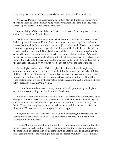END; Many shall run to and fro, and knowledge shall be increased" (Daniel 12:4).

Notice that Daniel's prophecies were to be *shut up*, CLOSED. But for how long? Were they to be closed so that no human being could ever understand them? No! They were to be shut up and sealed "*even to the time of the end*"!

You are living in "the time of the end"! Later, Daniel asked "How long shall it be to the end of these wonders?" (Daniel 12:6).

"And I heard the man clothed in linen, which was upon the waters of the river, when he held up his right hand and his left hand unto heaven, and swear by Him that liveth forever that it shall be for a *time, times, and an half;* and when he shall have accomplished to *scatter the power of the holy people*, all these things shall be finished, And I heard, but I understood not: then said I, O my Lord, what shall be the end of these things? And he said, go thy way, Daniel: for the words are closed up and sealed *till the time of the end!* Many shall be purified, and made white, and tried; but the wicked shall do wickedly: and none of the wicked shall understand; but the wise shall understand!" (Daniel 12:6–10). So the prophecies of Daniel *are to be understood*—but not until "the time of the end"!

Eschatologists and students of Bible prophecy have known down through many centuries that the book of Daniel and the book of Revelation are both interrelated. It is as if Bible prophecy were like one of the picture-type puzzles one may buy in a game store. In order to fill in the complete picture, you must have *not only* the book of Daniel but the book of Revelation, together with many other prophecies, not the least of which is Christ's Olivet prophecy, to *complete the picture!*

It is for this reason there have been any number of books published by theologians over the years concerning both Daniel and the Revelation.

Notice what John said of his book of Revelation: "The Revelation of Jesus Christ, which God gave unto Him, to show unto His servants things which *must shortly come to pass;* and He sent and signified it by His angel unto His servant John" (Revelation 1: 1). The book of Revelation was given to show, not to hide or conceal. But, notice it is given to show unto "HIS SERVANTS" those things which are to happen!

Now, turn to Amos 3:7: "Surely the Lord God will do nothing, but *He revealeth His secret unto His servants the prophets!*" God says His true servants on this earth WILL understand Bible prophecies!

He says, "But the manifestation of the Spirit is given to every man to profit withal. For to one is given by the Spirit the word of wisdom; to another the word of knowledge by the same Spirit; to another faith by the same Spirit; to another the gifts of healing by the same Spirit; to another the working of miracles; to another prophecy..." (1 Corinthians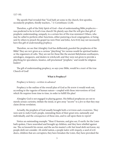12:7–10).

The apostle Paul revealed that "God hath set some in the church, first apostles, secondarily prophets, thirdly teachers..." (1 Corinthians 12:28).

Therefore, a gift of the Holy Spirit of God—that of understanding Bible *prophecies* was predicted to be in God's true church! He plainly says that He will give that gift of prophetic understanding, uniquely, to a certain few of His true ministers! Others, who may be called to perform other functions, either pastoring a local congregation, or being sent by others to preach the gospel (as were Peter and John; Acts 8:14) may not necessarily have this gift of *understanding prophecy*.

Therefore, we see that Almighty God has deliberately *guarded* the prophecies of the Bible! They are not given as a curious "plaything" for various would-be spiritual leaders or the organizers of cults. They are not for those like the ancient Babylonian soothsayers, astrologers, stargazers, and dealers in witchcraft; and they were not given to provide a plaything for speculators, fanatics, self-proclaimed "prophets," and would-be religious leaders!

The gift of understanding prophecy, so says your Bible, would be a part of the true Church of God!

### **What is Prophecy?**

Prophecy is *history—written in advance!*

Prophecy is the outline of the overall plan of God as He knew it would work out, according to the vagaries of human nature—coupled with those *interventions* of God which He requires from time to time, in order to fulfill His plan!

Almighty God is not engaged in playing games. His biblical prophecies are not to merely arouse curiosity, titillate the mind, or give away "secrets" to a *few* so that they may claim divine revelation.

Actually, the prophets of God usually brought both a witness and a warning. They were sent to *indict* God's people, reminding them of their great sins, nationally and individually, and the *consequences* of those sins, and to call upon them to *repent!*

Notice an outstanding example: "Hear O heavens, and give ear, O earth: for the LORD hath spoken, I have nourished and brought up children, and they have rebelled against me. The ox knoweth his owner, and the ass his master's crib: but Israel doth not know, my people doth not consider. Ah sinful nation, a people *laden with iniquity*, a seed of evildoers, children that are corrupters; they have forsaken the LORD, they have provoked the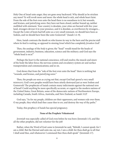Holy One of Israel unto anger, they are gone away backward. Why should ye be stricken any more? Ye will revolt more and more: the whole head is sick, and whole heart faint. From the sole of the foot even unto the head there is no soundness in it; but wounds, and bruises, and putrefying sores: they have not been closed, neither bound up, neither mollified with ointment. Your country is desolate, your cities are burned with fire: your land, strangers devour it in your presence, and it is desolate, as overthrown by strangers.... Except the LORD of hosts had left unto us a very small remnant, we should have been as Sodom, and we should have been like unto Gomorrah" (Isaiah 1:2–9).

Here, Isaiah contrasts the dumb ox who knows its way to the barn and the precise stall where its feed is waiting, as opposed to sinning *Israel* which has completely *forsaken God!*

Then, the analogy of the *body* is given; the "head" would stand for the heads of government, industry, business, education, science and the military; and God says the "whole head is sick!"

Perhaps the *heart* is the national conscience, will and resolve; the muscle and sinew of the body the labor force; the nervous system and circulatory system air and surface transportation and communications; and so on.

God shows that from the "sole of the foot even unto the head" there is nothing but "wounds, and bruises, and putrefying sores."

Then, the people are seen as crying out that, except God had *spared* a very small remnant, God's own peoples would have been utterly destroyed just as were Sodom and Gomorrah! The prophecies of Isaiah contain many indictments against the national sins of Israel! Could *anything* be more specifically accurate, or cogent to the modern nations of the United States, Great Britain, some of the democratic nations of Northwestern Europe, including Canada, South Africa, Australia, and New Zealand, as Isaiah 3:12?

God says, "As for my people, children are their oppressors, and women rule over them. O my people, they which lead thee cause thee to err, and destroy the way of thy paths."

Today, this prophecy of Isaiah has special poignancy.

# **None of the Prophets Volunteered**

*Jeremiah* was especially called of God even before he was born (Jeremiah 1:5), and like all the other prophets, did not *volunteer* for the job!

Rather, when the Word of God came to Jeremiah he said, "Behold, I cannot speak: for I am a child. But the Eternal said unto me, say not, I am a child: for thou shalt go to all that I shall send thee, and whatsoever I command thee thou shalt speak" (Jeremiah 1:7).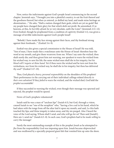Now, notice the indictments against God's people Israel commencing in the second chapter. Jeremiah says, "I brought you into a plentiful country, to eat the fruit thereof and the goodness thereof; but when ye entered, ye defiled my land, and made mine heritage an abomination...." He asks, "Hath a nation changed their gods, which are yet no gods? But my people have changed their glory for that which doth not profit. Be astonished, O ye heavens, at this, *be horribly afraid*, be ye very desolate, saith the LORD" (Jeremiah 2:11–12). Even Ezekiel, though he prophesied from a condition of captivity (Ezekiel 1:1), was given a message of terrible indictments against God's people Israel!

"Behold, I have made thy face strong against their faces, and thy forehead strong against their foreheads..." (Ezekiel 3:4–9).

Ezekiel was also given a special commission to the House of Israel! He was told, "Son of man, I have made thee a watchman unto the House of Israel: therefore hear the word at my mouth, and give them warning from me. When I say unto the wicked, thou shalt surely die; and thou givest him not warning, nor speakest to warn the wicked from his wicked way, to save his life; the same wicked man shall die in his iniquity; *but his blood will I require at thine hand*. Yet if thou warn the wicked and he turn not from his wickedness, nor from his wicked way, he shall die in his iniquity; but thou has delivered *thy soul!"* (Ezekiel 3:17–19).

Thus, God placed a *heavy, personal responsibility* on the shoulders of His prophets! Their performance in the carrying out of their individual callings related directly *to their own salvation!* If they *failed* to warn the wicked, and the wicked died, God held the *prophet* accountable!

If they succeeded in warning the wicked, even though their message was spurned and rejected, the prophet would be spared.

None of God's prophets volunteered!

Isaiah said he was a man of "unclean lips" (Isaiah 6:5), but God, through a vision, caused Isaiah to see "one of the seraphim" who, "having a live coal in his hand, which he had taken with the tongs from off the altar laid it upon my mouth, and said, Lo this hath touched thy lips; and thine iniquity is taken away, and thy sin purged. Also I heard the voice of the Lord saying, Whom shall I send, and who will go for us? Then said [Isaiah!], Here am 1; send me" (Isaiah 6:5–8). In each case, God's prophets had to be *made willing* to carry the message!

Surely the most outstanding example of this is the prophet *Jonah* as he attempted to *flee* from the responsibility God was imposing upon him. Jonah became shipwrecked and was swallowed by a specially-prepared giant fish that vomited him up onto the shore.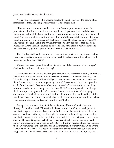Jonah was *humbly willing* after the ordeal.

Notice what Amos said to his antagonists after he had been ordered to get out of his immediate country and *not speak* anymore of God's judgments!

"Then answered Amos, and said to Amaziah, I was no prophet, neither was I a prophet's son; but I was an herdman, and a gatherer of sycamore fruit: And the LORD took me as I followed the flock, and the LORD said unto me, Go, prophesy unto my people Israel. Now therefore hear thou the Word of the LORD: thou sayest, Prophesy not against Israel, and drop not thy word against the house of Isaac. Therefore thus saith the LORD; Thy wife shall be an harlot in the city, and thy sons and thy daughters shall fall by the sword, and thy land shall be divided by line; and thou shalt die in a polluted land: and Israel shall surely go into captivity forth of his land!" (Amos 7:14–17).

Thus, God specially called certain men from various previous occupations, gave them *His message*, and commanded them to go to His stiff-necked wayward, rebellious, Godrejecting people with a message.

Always, they were rejected! Rebellious Israel spurned the message and warning of God, as she continues to do unto this day!

Jesus referred to this in His blistering indictment of the Pharisees. He said, "Wherefore behold, I send unto you prophets. and wise men and scribes: and some of them ye shall kill and crucify, and some of them shall ye scourge in your synagogues, and persecute them from city to city: That upon you may come all the righteous blood shed upon the earth, from the blood of righteous Abel unto the blood of Zacharias son of Barachias, whom ye slew between the temple and the altar. Verily I say unto you, all these things shall come upon this generation. O Jerusalem, Jerusalem, thou that *killest the prophets*, and stonest them which are sent unto thee, how often would I have gathered thy children together, even as a hen gathereth her chickens under her wings, and ye would not! Behold, your house is left unto you desolate" (Matthew 23:34–38).

Perhaps the summarization of *all the prophets* could be found in God's words through Jeremiah to Israel: "Thus saith the LORD of hosts, the God of Israel; put your burnt offerings unto your sacrifices, and eat flesh. For I spake not unto your fathers, nor commanded them in the day that I brought them out of the land of Egypt, concerning burnt offerings or sacrifices: But this thing commanded I them, saying, OBEY MY VOICE, and I will be your God, and ye shall be my people: and walk ye in all the ways that I have commanded you, *that it may be well with you*. But they hearkened not, nor inclined their ear, but walked in the counsels and in the imagination of their evil heart and went backward, and not forward. Since the day that your fathers came forth out of the land of Egypt unto this day I have even sent unto you all my servants the prophets, daily rising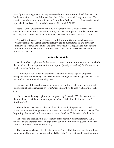up early and sending them: Yet they hearkened not unto me, nor inclined their ear, but hardened their neck: they did worse than their fathers.... thou shalt say unto them, This is a nation that obeyeth not the voice of the LORD their God, nor receiveth correction; truth is perished, and is cut off from their mouth!" (Jeremiah 7:21–28).

*Because* of the great sacrifice made by these great men of God; because of their enormous contribution to biblical literature, and their example for us today, Jesus Christ said they are a part of the very *foundation* of the New Testament CHURCH OF GOD!

Notice! "For through Him [Christ] we both [Jews and Gentiles alike] have access by one Spirit unto the Father. Now therefore ye are no more strangers and foreigners, but fellow citizens with the saints, and of the household of God; And are built upon the foundation of the apostles AND PROPHETS, Jesus Christ being the chief Cornerstone" (Ephesians 2:18–20).

# **The Duality Principle**

Much of Bible prophecy is *dual*—that is, it consists of pronouncements which are both thesis and antithesis; type and antitype, or a *prior* (usually immediate) fulfillment and a final, latter-day fulfillment.

As a matter of fact, type and antitypes, "shadows" of reality, figures of speech, metaphor, simile and analogies are used liberally throughout the Bible, just as they are in much of our literature and everyday speech.

Perhaps one of the greatest examples of duality is in the prophecy of the imminent destruction of Jerusalem, given by Jesus Christ in Matthew 24 (also read Mark 13; Luke 21).

Notice that at the very beginning of the prophecy Jesus said, "Verily I say unto you, there shall not be left here *one stone upon another*, that shall not be thrown down" (Matthew 24:2).

Then follows the Olivet prophecy of false Christs and false prophets, wars and rumors of wars, famines, pestilences, and earthquakes, all of which are described as "the beginning of sorrows," or the commencement of the Great Tribulation (Matthew 24:21).

Following the tribulation is a description of the heavenly signs (Matthew 24:29), followed by the appearance of the "sign of the Son of man in heaven" (verse 30) and the Second Coming of Christ (verses 30–31).

The chapter concludes with Christ's warning, "But of that day and hour knoweth no man, no, not the angels of heaven, but my Father only..." (verse 36), and His admonition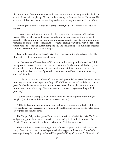that at the time of His imminent return human beings would be living as if they hadn't a care in the world, completely *oblivious* to the meaning of the times (verses 37–39) and His examples of those who were not watching and who were caught unawares (verses 48–51).

Applying the simple test of *truth* to this prophecy, you can easily see it was *dual* in nature.

Jerusalem *was destroyed* approximately forty years after this prophecy! Josephus writes of the most bestial and hideous bloodletting one can imagine; the protracted siege, horrible famine and starvation, the ultimate conquest of the city, the impaling and torturing to death of tens of thousands of Jews; the prizing apart of the very stones of the upper portions of the wall surrounding the city and the leveling of its buildings, together with the desecration of its famous temple.

True to the predictions of Jesus Christ, that living generation *did not pass* before the things of His Olivet prophecy came to pass!

But there were no "heavenly signs"! The "sign of the coming of the Son of man" did not appear in heaven! Jesus did not return at that time! Furthermore, while the city was destroyed, there were thousands of stones which were left intact, and which are there yet today, if one is to take Jesus' prediction that there would "not be left one stone atop another" literally!

It is obvious to serious students of the Bible and Spirit-filled believers that Jesus' Olivet prophecy was *dual*. It had a previous "typical" fulfillment in the sack and destruction of Jerusalem by the armies of Titus of Rome in AD 70–71. Shockingly, there is to be a yet future destruction of the city of *Jerusalem*—yes, the *modern* city—according to Bible prophecy!

A couple of other examples of duality are found in the descriptions of the King of Babylon (Isaiah 14:4) and the Prince of Tyre (Ezekiel 28:2).

All the Bible commentaries are universal in their acceptance of the duality of these two chapters in their description of human, physical kings of empires or city states, and a description of Satan the devil!

The King of Babylon is a *type* of Satan, who is described in Isaiah 14:12–14. The Prince of Tyre is a type of Satan, who is described commencing in the middle of verse 12 of Ezekiel 28 and concludes in the latter part of verse 17 of that same chapter.

There is a third shadowy meaning in both of these chapters, in that both the ancient King of Babylon and the Prince of Tyre are shadowy types of the famous "beast" of a coming military dictatorship in Central Europe—the "King of the north" of Daniel 11:40,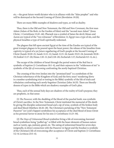etc.—the great future world dictator who is in alliance with the "false prophet" and who will be destroyed at the Second Coming of Christ (Revelation 19:20).

There are many Bible examples of shadows and types, as well as duality.

Thus, there is the Old and New Testament, the Old and New Covenant, the first man Adam (Adam of the flesh, in the Garden of Eden) and the "second man Adam" (Jesus Christ, 1 Corinthians 15:45–46). Pharaoh was a symbol of Satan the devil; Moses and Aaron are typical of the "two witnesses" of Revelation 11; Egypt was a type of sin, and the physical Israelites a type of God's spiritually redeemed.

The plagues that fell upon ancient Egypt at the time of the Exodus are typical of the great trumpet plagues to be poured upon the beast power; the release of the Israelites from captivity is typical of a yet *future* regathering of God's people at the Second Coming of Christ (Isaiah 10:20–21; Isaiah 11:11–12; Isaiah 11:15–16; Isaiah 19:23–24; Jeremiah 50:18– 19; Ezekiel 11:17–20; Hosea 1:10–11; Joel 2:18–20; Zechariah 1:17; Zechariah 8:3–8, etc.).

The escape of the children of Israel through the parted waters of the Red Sea is symbolic of *baptism* (1 Corinthians 10:1–4), and their sojourn in the "wilderness of sin" is symbolic of the *life of overcoming* confronting the newly-baptized Christian.

The crossing of the river Jordan into the "promised land" is a symbolism of the Christian inheritance of the Kingdom of God; and the forty years' wandering (forty is a number symbolizing trial or testing in the Bible) symbolic of the life of trials and tribulation confronting each newly-begotten Christian (John 16:33). There are literally dozens of types in the Bible which are shadowy examples of God's plan.

Thus, each of the annual holy days are shadows of the reality of God's purpose; they are prophetic, in that sense:

(1) *The Passover*, with the shedding of the blood of the paschal lamb, was symbolic of Christ's sacrifice. In the New Testament, Christ instituted the memorial of His death by giving His disciples unleavened bread and a sip of wine, symbols of His broken body and shed blood (Matthew 26:26–28). The Christian's partaking of the "New Testament Passover" (or Lord's Supper) symbolizes his acceptance of the shed blood of Jesus Christ as his personal Savior to atone for his sins (1 Corinthians 11:23–30).

(2) *The Days of Unleavened Bread* symbolize living a life of overcoming; leavened bread symbolizes being "puffed up," or filled with the baser elements of human nature such as vanity, ego, jealousy, greed, etc. The eating of unleavened bread for seven days (originally, in direct connection with the Passover in Egypt and the Exodus) is symbolic of the Christian's life of overcoming after acceptance of Christ and baptism (1 Corinthians 5:2–8; Leviticus 23:5–6).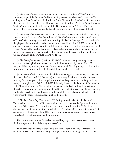(3) *The Feast of Pentecost* (Acts 2; Leviticus 23:9–16) is the feast of "firstfruits" and is a shadowy type of the fact that God is not trying to save the whole world *now*; that He is calling but a "firstfruits" unto the Lord; that Jesus Christ is the "first" of the firstfruits, and that the great, latter-day harvest of human lives is yet to follow. "Pentecost" merely means "fiftieth," and is an anglicized version of the Greek name for the "Feast of Firstfruits" which fell fifty days after the weekly Sabbath during the Days of Unleavened Bread.

(4) *The Feast of Trumpets* (Leviticus 23:23; Numbers 29:1) is a festival which primarily focuses on the "last trump" (1 Corinthians 15:52), which sounds at the Second Coming of Jesus Christ, although it includes the meaning of all of the "trumpets" connected with the plagues of God revealed in the book of Revelation (Revelation 8:6–10) and symbolizes an announcement, a warning to the inhabitants of the earth of the imminent arrival of Christ. As such, the Feast of Trumpets is also a celebration connoting the WORK OF GOD which is to be accomplished on earth—that of preaching the gospel of the Kingdom of God as a witness and a warning (Matthew 24:14).

(5) *The Day of Atonement* (Leviticus 23:27–29) contained many shadowy types and examples in its original observance, and is still observed today by fasting (Acts 27:9, margin). It is a day which symbolizes "at-one-ment" with God; it portrays the time in the future when the whole world will ultimately be reconciled with God.

(6) *The Feast of Tabernacles* symbolized the sojourning of ancient Israel, and the fact that they "dwelt in booths" (tabernacles) as a temporary dwelling-place. The Christian is, today, "a chosen generation, a royal priesthood, an holy nation, a peculiar people...as strangers and pilgrims..." (1 Peter 2:9–17). Primarily, however, the Festival of Tabernacles is the "feast of ingathering" in the fall of the year, a festival celebrating the great harvest. It foretells the coming of the Kingdom of God to this earth; it was a time of great rejoicing (and is still so celebrated by those who understand that these days are to be observed) portraying the soon-coming Kingdom of God on earth.

(7) *The Last Great Day* (Leviticus 23:39), falling immediately after the Feast of Tabernacles, is the seventh of God's annual holy days. It portrays the "great white throne judgment" (Revelation 20:11) and the second resurrection (Revelation 20:5), when, during a period of an apparent one hundred years (Isaiah 65:20), a time of judgment (not sentencing!) will take place for all those who were never called and never given a true opportunity for salvation during their lifetimes.

Thus, in the seven annual festivals or annual holy days is seen a complete type or shadowy representation of the very PLAN OF GOD!

There are literally dozens of shadowy types in the Bible. A few are: Abraham, as a shadowy type of God the Father being willing to offer His own Son, Jesus Christ, when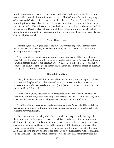Abraham was commanded to sacrifice Isaac, and, when God found him willing, a ram was provided instead. Moses is, in a sense, typical of both God the Father (in the giving of the law) and Christ the Son (as an intermediary between God and Israel). Moses and Aaron together are typical of the two witnesses of Revelation 11. Jannes and Jambres, the two "magicians" of Pharaoh's court, are symbolic of the two witnesses who are saying "let my people go." David is a type of Jesus Christ. Ezra, Nehemiah, and Zerubbabel, all of whom figured prominently in the delivery of the Jews from their Babylonian captivity, are symbols of Jesus Christ.

## **Poetic Illustrations**

Remember, too, that a good deal of the Bible was written as *poetry*. There are many poetic books (such as Psalms, the Song of Solomon, etc.), and many passages in some of the Major Prophets are poetry.

A few examples of poetic meaning would include the placing of the live coal upon Isaiah's lips as if to cleanse him from being, as he claimed, a man of "unclean lips" (Isaiah 6). Other notable examples are Jeremiah 13:1–10; 25:15; 27:2–3; Ezekiel 3:2–3; and 4:4–6. Some of the examples of the poetic expression of the joy of deliverance are found in Isaiah 35:1–7; 55:12–13; and Joel 2:21–30.

### **Biblical Symbolism**

Often, the Bible uses *symbols* to express thoughts and ideas. The Holy Spirit is likened unto some of the physical manifestations of power. Examples include water (John 3:5; Ephesians 5:26; 1 John 5:6; Revelation 22:1, 17), fire (Acts 2:3; 1 Peter 1:7; Revelation 3:18), and wind (John 3:8; Acts 2:2).

Water, the life-giving substance which is essential to life; wind, or air, which is also essential to life; and fire, which both purges and cleanses (in the case of metals, etc.), or is capable of destroying, are thus used typically of the powerful Spirit of God!

Also, "light" from the sun and the stars is likewise used. Perhaps, had the Bible been written during our day, God would have used nuclear energy and lasers as typical of His awesome power and might.

Notice a few more biblical symbols: "And it shall come to pass in the last days, that the mountain of the LORD's house shall be established in the top of the mountains, and shall be exalted above the hills; and *all nations* shall flow unto it. And many people shall go and say, Come ye, and let us go up to the *mountain* of the LORD, to the house of the God of Jacob; and He will teach us of His ways, and we will walk in His paths: for out of Zion shall go forth the law, and the Word of the Lorp from Jerusalem. And He shall judge among the nations, and shall rebuke many people: and they shall beat their swords into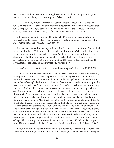plowshares, and their spears into pruning hooks: nation shall not lift up sword against nation, neither shall they learn war any more" (Isaiah 2:2–4).

Here, as in many other prophecies, it is obvious that the "mountain" is symbolic of God's *government*. It is probably both literal and figurative, in that the Bible predicts that God's temple, His *headquarters* on earth, will be on the "Mount of Olives," which will actually cleave in two during the great final earthquake (Zechariah 14:4–9).

When it says the Lord's house will be established "in the top of the *mountains*" it means above all of the so-called "great powers" or *great nations*, and "exalted above the *hills*" means exalted above all the *lesser nations!*

Stars are used as symbols for *angels* (Revelation 9:1). In the vision of Jesus Christ which John saw (Revelation 1) there were "in His right hand seven stars" (Revelation 1:16). Here is an example of how *the Bible interprets the Bible*. By merely reading on through the description of all that John saw, you come to verse 20, which says, "The mystery of the seven stars which thou sawest in my right hand, and the seven golden candlesticks. The seven stars are the angels of the churches" (Revelation 1:20).

Jesus Christ is referred to as "the bright and morning star" (Revelation 22:16; 2:28).

A beast, or wild, ravenous *creature*, is usually used to connote a Gentile government, or kingdom. In Daniel's seventh chapter, for example, four great beasts are pictured. Notice the description: "The first was *like a lion*, and had eagle's wings: I beheld till the wings thereof were plucked, and it was lifted up from the earth, and made stand upon the feet as a man, and a man's heart was given to it. [This refers to Nebuchadnezzar's insanity and cure.] And behold another beast, a second, *like to a bear*, and it raised up itself on one side, and it had three ribs in the mouth of it between the teeth of it: and they said thus unto it, Arise, devour much flesh. After this I beheld, and lo another, *like a leopard*, which had upon the back of it four wings of a fowl; the beast had also four heads; and dominion was given to it. After this I saw in the night visions, and behold a fourth beast, dreadful and terrible, and strong exceedingly; and it had great iron teeth: it devoured and brake in pieces, and stamped the residue with the feet of it: and it was diverse from all the beasts that were before it; and it had ten horns. I considered the horns, and, behold, there came up among them another little horn, before whom there were three of the first horns plucked up by the roots: and, behold, in this horn were eyes like the eyes of man, and a mouth speaking great things. I beheld till the thrones were cast down, and the Ancient of days did sit, whose garment was white as snow, and the hair of His head like the pure wool: His throne was like the fiery flame, and His wheels as burning fire" (Daniel 7:4–9).

Now, notice how *the Bible interprets the Bible* in revealing the meaning of these various creatures. Continuing to read through the same chapter, we come to verse 17: "These great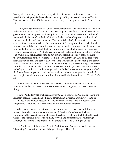beasts, which are four, are four kings, which shall arise out of the earth." That a king stands for his kingdom is absolutely conclusive by reading the second chapter of Daniel. Here, we see the vision of Nebuchadnezzar, and the great image described in Daniel 2:32– 35.

Daniel, through a miracle, was given the interpretation of the dream and revealed it to Nebuchadnezzar. He said, "Thou, O king, art a king of kings: for the God of heaven hath given thee a kingdom, power, and strength, and glory. And wheresoever the children of men dwell, the beasts of the field and fowls of the heaven hath he given into thine hand, and hath made thee ruler over them all. *Thou art* this head of gold. And after thee shall arise another *kingdom* inferior to *thee*, and another third kingdom of brass, which shall bear rule over all the earth. And the fourth kingdom shall be strong as iron: forasmuch as iron breaketh in pieces and subdueth all things: and as iron that breaketh all these, shall it break in pieces and bruise. And whereas thou sawest the feet and toes, part of potters' clay, and part of iron, the kingdom shall be divided; but there shall be in it of the strength of the iron, forasmuch as thou sawest the iron mixed with miry clay. And as the toes of the feet were part of iron, and part of clay, so the kingdoms shall be partly strong, and partly broken. And whereas thou sawest iron mixed with miry clay, they shall mingle themselves with the seed of men: but they shall not cleave one to another, even as iron is not mixed with clay. And in the days of these kings shall the God of heaven set up a kingdom, which shall never be destroyed: and the kingdom shall not be left to other people, but it shall break in pieces and consume all these kingdoms, and it shall stand for ever" (Daniel 2:37– 44).

Can anything be plainer? The *head* of the image stood for Nebuchadnezzar, but it is obvious that *king* and KINGDOM are completely interchangeable, and mean the same thing.

It says, "And after thee shall arise *another kingdom* inferior to *thee* and another *third* kingdom of brass" (Daniel 2:39). Biblical scholars and historians are universal in their acceptance of the obvious succession of the four world-ruling Gentile kingdoms of the Babylonian, Medo/Persian, Greco/Macedonian, and Roman Empires.

What many have *missed* in these obvious prophecies is the fact that both the great image of Daniel's second chapter and the *fourth beast* of Daniel's seventh chapter culminate in the Second Coming of Christ. Therefore, it is obvious that the fourth beast, which is the Roman Empire with its many revivals and resurrections down through history, *will be extant* at the final moments before the Second Coming of Christ!

It is "in the days of *these kings*" (Daniel 2:44) that Jesus Christ returns! In this case "these kings" refer to the ten toes of the great image of Daniel 2.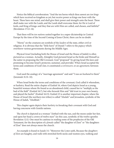Notice the biblical corroboration: "And the ten horns which thou sawest are *ten kings* which have received no kingdom as yet; but receive power as kings one hour with the beast. These have one mind, and shall give their power and strength unto the beast. These shall make war with the Lamb, and the Lamb shall overcome them: for He is Lord of lords, and King of kings: and they that are with Him are called, and chosen, and faithful" (Revelation 17:12–14).

That there will be *ten nations* united together in a super-dictatorship in Central Europe by the time of the Second Coming of Jesus Christ, there can be no doubt.

"Horns" on the creatures are symbols of the *leaders* of the state, either civil or religious. It is obvious that the "little horn" of Daniel 7 refers to the *papacy* which overthrew various governments during the Middle Ages.

Physical *Israel* (including both the House of Israel and the House of Judah) is often pictured as a woman. Actually, Almighty God pictured Israel as the bride and Himself as the suitor in proposing the Old Covenant. God "proposed" by giving Israel His laws and promising to become Israel's protector, sustainer, and provider. When Israel accepted the terms and conditions of God's law, it constituted a covenant, or an *agreement*, between them.

God used the analogy of a "marriage agreement" and said "I was an *husband* to them" (Jeremiah 31:31–32).

When Israel broke the terms and conditions of the covenant, God called it whoredom, or harlotry. Read the entire chapter of Ezekiel 16, where God depicts Israel as a young, beautiful woman whom He found as an abandoned child, caused her to "multiply as the bud of the field" (Ezekiel 16:7), but who forsook Him and "did trust in your own beauty, and played the harlot" (Ezekiel 16:15). Ezekiel 23 is another important chapter, where the House of Israel (the northern ten tribes) is called "Aholah" and Jerusalem, symbolic of the House of Judah, "Aholibah."

This chapter again depicts their *harlotry* in forsaking their covenant with God and having concourse with Gentile nations.

The *church* is depicted as a woman "clothed with the sun, and the moon under her feet, and upon her head a crown of twelve stars" (in this case, symbolic of the twelve apostles Revelation 12:1). One must be cautious in reading some of the prophecies of the Old Testament, for the description of a *female* called "the daughter of Zion" or "the daughters of Zion" does not always mean the church.

An example is found in Isaiah 3:1: "Moreover the LORD saith, Because the *daughters of Zion* are haughty, and walk with stretched forth necks and wanton eyes, walking and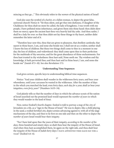mincing as they go...." This obviously refers to the *women* of the physical nation of Israel!

God also uses the symbol of a *harlot*, or a fallen woman, to depict the great false, universal church! Notice it: "Sit thou silent, and get thee into darkness, O daughter of the Chaldeans: for thou shalt no more be called, the lady of kingdoms. I was wroth with my people, I have polluted mine inheritance, and given them into thine hand: thou didst shew them no mercy; upon the ancient hast thou very heavily laid thy yoke. And thou saidst, I shall be a lady for ever: so that thou didst not lay these things to thy heart, neither didst remember the latter end of it.

"Therefore hear now this, thou that are given to pleasures, that dwellest carelessly, that sayest in thine heart, I am, and none else beside me; I shall not sit as a widow, neither shall I know the loss of children: But these two things shall come to thee in a moment in one day, the loss of children, and widowhood: they shall come upon thee in their perfection for the multitude of thy sorceries, and for the great abundance of thine enchantments. For thou hast trusted in thy wickedness: thou hast said, None seeth me. Thy wisdom and thy knowledge, it hath perverted thee; and thou hast said in thine heart, I am, and none else beside me" (Isaiah 47:5–10). See also Revelation 17:5.

# **Understanding Time Sequences**

God gives certain, specific keys to understanding biblical time sequences.

Notice: "And your children shall wander in the wilderness forty years, and bear your whoredoms, until your carcasses be wasted in the wilderness. After the number of days in the which you searched the land, even forty days, *each day for a year*, shall ye bear your iniquities, *even forty years*" (Numbers 14:33–34).

God plainly tells us that the number of days in which the advance scouts of the nation of Israel searched out the promised land would represent the *number of years* in which they would wander in the land of Sinai.

Now, notice Ezekiel's fourth chapter. Ezekiel is told to portray a map of the city of Jerusalem on a tile, as a "sign to the House of Israel." He was to depict, like a child playing in the sand, a walled fortified city, depict armies advancing against it, with all of the siege mechanisms of the day, and then to lie first on one side and then on the other to depict the *number of years* Israel would bear their iniquity.

"For I have laid upon thee the years of their iniquity, *according to the number of the days*, three hundred and ninety days: so shalt thou bear the iniquity of the House of Israel. And when thou hast accomplished them, lie again on thy right side, and thou shalt bear the iniquity of the House of Judah forty days: I HAVE APPOINTED THEE EACH DAY FOR A year" (Ezekiel 4:4–6).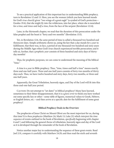To see a practical application of this important key in understanding Bible prophecy, turn to Revelation 12 and 13. Here, you see the woman (which you have learned stands for God's *true church*) given "two wings of a great eagle" (a symbol of God's protection— Exodus 19:4), that she might fly into the wilderness, into her place, where she is nourished for a *time*, and *times* and *half a time*, from the face of the serpent (Revelation 12:14).

Later, in the thirteenth chapter, we read that the duration of this persecution under the false prophet and the beast is "forty and two months" (Revelation 13:5).

Yet, in Revelation 12:6, the *same* period of time is called a thousand two hundred and threescore days. Simple arithmetic shows us, using the key that a *day* stands for a *year* in fulfillment, that there was, in fact, a period of one thousand two hundred and sixty years during the Middle Ages when God's true church experienced terrible persecution; and it tells us, further, that a *prophetic year* consists of three hundred and sixty days of thirtyday months!

Thus, for prophetic purposes, we can come to understand the meaning of the biblical "time."

A time is a *year* in Bible prophecy. Thus, "time, times and half a time" means exactly three and one-half years. Three and one-half years consists of forty-two months of thirty days each. Thus, we have twelve hundred and sixty days, forty-two months, or three and one-half years.

Apparently, the Great Tribulation, heavenly signs, and Day of the Lord will fit into this three-and-one-half year period.

CAUTION: Do not attempt to "set dates" in biblical prophecy! Many have learned, sometimes to their bitter disappointment, that it is a *grave error* to think you have worked out some specific key or other—some table of figures, numerical values to Greek, Hebrew, or English letters, etc.—and then arrive at a specific *date* for the fulfillment of some great prophecy!

# **Biblical Prophecy Deals in the Overview**

The prophecies of Jesus Christ on Mount Olivet are the most *important* for us, during this time! It is *these prophecies* (Matthew 24; Mark 13; Luke 21) which *interpret the time sequence* of events outlined in the book of Revelation, *specifically* beginning with chapter 6 and 7, and following the general *theme* of tribulation, heavenly signs and day of the Lord as it is developed through the remainder of the book of Revelation.

Notice another major key to understanding the sequence of these great events. Read Joel 2:31, compare it carefully with Matthew 24:29, and then read the sixth and seventh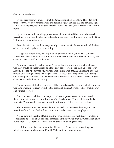chapters of Revelation.

By this brief study, you will see that the Great Tribulation (Matthew 24:21–22), or the time of *Jacob's trouble*, comes before the heavenly signs. You see that the heavenly signs come AFTER the tribulation. You see that the Day of the Lord Comes AFTER the heavenly signs!

By this simple understanding, you can come to understand that those who preach a "secret rapture" where the church is allegedly taken away from the earth prior to the Great Tribulation is a complete error.

Pre-tribulation rapture theorists generally confuse the tribulation period and the Day of the Lord, making them the same thing.

A suggested simple study you might do on your own to aid you in what you have learned is to read the brief description of the great events to befall this earth given by Jesus Christ in the first half of Matthew 24.

As you do so, read Revelation 6 and 7. Notice that the first thing Christ predicted was there would be "false Christs and false prophets." Now, notice the *first* of the "four horsemen of the Apocalypse" (Revelation 6) is a being who *appears* Christ-like, but who, instead of carrying a "sharp two-edged sword," carries a *bow*. He goes out conquering and to conquer. Many are confused about this prophecy. Does it mean Christ? Let Jesus Christ Himself do the interpreting!

Notice the *next* of the four horsemen of the Apocalypse, the red horse which connotes war. And what did Jesus say would be the second of the great events? "There shall be wars and rumors of wars!"

Once you have established the sequence of events, you can come to understand the meaning of *each* of the "four horsemen" of Revelation 6: (1) false Christs and false prophets, (2) wars and rumors of wars, (3) famine, and (4) death and destruction.

The *fifth seal* symbolizes the tribulation, the *sixth seal* the heavenly signs, and the *seventh seal* the Day of the Lord, which is comprised of seven trumpet plagues.

Notice carefully that the 144,000 and the "great innumerable multitude" (Revelation 7) are not to be sealed of God in their foreheads until *during* or *after* the Great Tribulation (Revelation 7:14). Therefore, they are still on this earth during that time!

Dr. Bullinger, in his *Companion Bible* (Zondervan Press) has an interesting chart which compares Revelation 6 and 7 with Matthew 24 in the appendix.